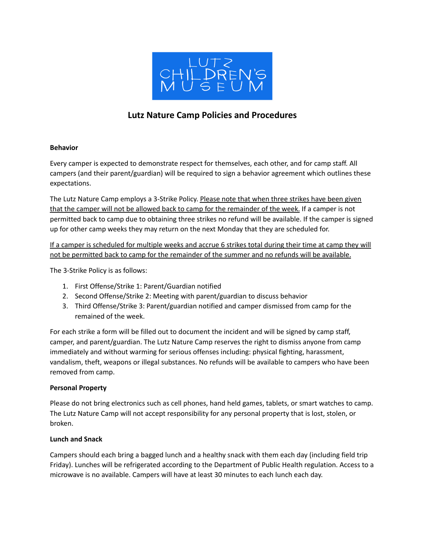

# **Lutz Nature Camp Policies and Procedures**

## **Behavior**

Every camper is expected to demonstrate respect for themselves, each other, and for camp staff. All campers (and their parent/guardian) will be required to sign a behavior agreement which outlines these expectations.

The Lutz Nature Camp employs a 3-Strike Policy. Please note that when three strikes have been given that the camper will not be allowed back to camp for the remainder of the week. If a camper is not permitted back to camp due to obtaining three strikes no refund will be available. If the camper is signed up for other camp weeks they may return on the next Monday that they are scheduled for.

If a camper is scheduled for multiple weeks and accrue 6 strikes total during their time at camp they will not be permitted back to camp for the remainder of the summer and no refunds will be available.

The 3-Strike Policy is as follows:

- 1. First Offense/Strike 1: Parent/Guardian notified
- 2. Second Offense/Strike 2: Meeting with parent/guardian to discuss behavior
- 3. Third Offense/Strike 3: Parent/guardian notified and camper dismissed from camp for the remained of the week.

For each strike a form will be filled out to document the incident and will be signed by camp staff, camper, and parent/guardian. The Lutz Nature Camp reserves the right to dismiss anyone from camp immediately and without warming for serious offenses including: physical fighting, harassment, vandalism, theft, weapons or illegal substances. No refunds will be available to campers who have been removed from camp.

# **Personal Property**

Please do not bring electronics such as cell phones, hand held games, tablets, or smart watches to camp. The Lutz Nature Camp will not accept responsibility for any personal property that is lost, stolen, or broken.

#### **Lunch and Snack**

Campers should each bring a bagged lunch and a healthy snack with them each day (including field trip Friday). Lunches will be refrigerated according to the Department of Public Health regulation. Access to a microwave is no available. Campers will have at least 30 minutes to each lunch each day.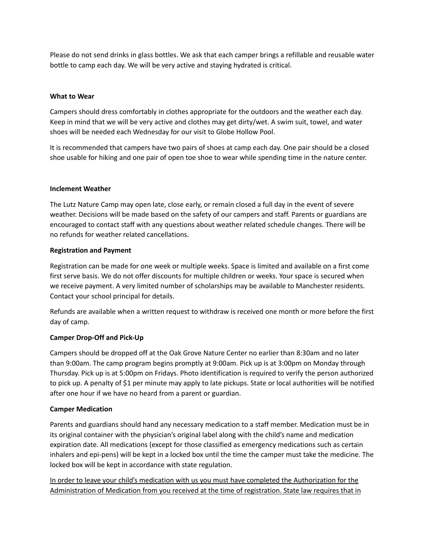Please do not send drinks in glass bottles. We ask that each camper brings a refillable and reusable water bottle to camp each day. We will be very active and staying hydrated is critical.

#### **What to Wear**

Campers should dress comfortably in clothes appropriate for the outdoors and the weather each day. Keep in mind that we will be very active and clothes may get dirty/wet. A swim suit, towel, and water shoes will be needed each Wednesday for our visit to Globe Hollow Pool.

It is recommended that campers have two pairs of shoes at camp each day. One pair should be a closed shoe usable for hiking and one pair of open toe shoe to wear while spending time in the nature center.

#### **Inclement Weather**

The Lutz Nature Camp may open late, close early, or remain closed a full day in the event of severe weather. Decisions will be made based on the safety of our campers and staff. Parents or guardians are encouraged to contact staff with any questions about weather related schedule changes. There will be no refunds for weather related cancellations.

#### **Registration and Payment**

Registration can be made for one week or multiple weeks. Space is limited and available on a first come first serve basis. We do not offer discounts for multiple children or weeks. Your space is secured when we receive payment. A very limited number of scholarships may be available to Manchester residents. Contact your school principal for details.

Refunds are available when a written request to withdraw is received one month or more before the first day of camp.

# **Camper Drop-Off and Pick-Up**

Campers should be dropped off at the Oak Grove Nature Center no earlier than 8:30am and no later than 9:00am. The camp program begins promptly at 9:00am. Pick up is at 3:00pm on Monday through Thursday. Pick up is at 5:00pm on Fridays. Photo identification is required to verify the person authorized to pick up. A penalty of \$1 per minute may apply to late pickups. State or local authorities will be notified after one hour if we have no heard from a parent or guardian.

# **Camper Medication**

Parents and guardians should hand any necessary medication to a staff member. Medication must be in its original container with the physician's original label along with the child's name and medication expiration date. All medications (except for those classified as emergency medications such as certain inhalers and epi-pens) will be kept in a locked box until the time the camper must take the medicine. The locked box will be kept in accordance with state regulation.

In order to leave your child's medication with us you must have completed the Authorization for the Administration of Medication from you received at the time of registration. State law requires that in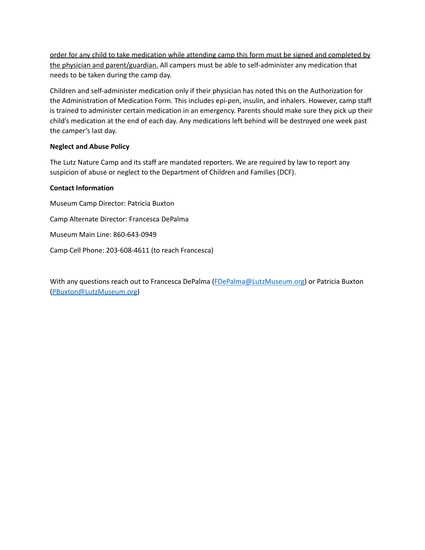order for any child to take medication while attending camp this form must be signed and completed by the physician and parent/guardian. All campers must be able to self-administer any medication that needs to be taken during the camp day.

Children and self-administer medication only if their physician has noted this on the Authorization for the Administration of Medication Form. This includes epi-pen, insulin, and inhalers. However, camp staff is trained to administer certain medication in an emergency. Parents should make sure they pick up their child's medication at the end of each day. Any medications left behind will be destroyed one week past the camper's last day.

## **Neglect and Abuse Policy**

The Lutz Nature Camp and its staff are mandated reporters. We are required by law to report any suspicion of abuse or neglect to the Department of Children and Families (DCF).

## **Contact Information**

Museum Camp Director: Patricia Buxton Camp Alternate Director: Francesca DePalma Museum Main Line: 860-643-0949 Camp Cell Phone: 203-608-4611 (to reach Francesca)

With any questions reach out to Francesca DePalma ([FDePalma@LutzMuseum.org\)](mailto:FDePalma@LutzMuseum.org) or Patricia Buxton [\(PBuxton@LutzMuseum.org\)](mailto:PBuxton@LutzMuseum.org)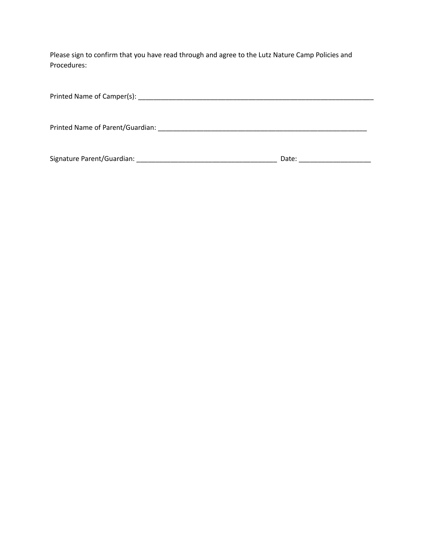Please sign to confirm that you have read through and agree to the Lutz Nature Camp Policies and Procedures:

| Printed Name of Camper(s): Name is a series of Camper (s):                                                                                                                                                                     |       |  |
|--------------------------------------------------------------------------------------------------------------------------------------------------------------------------------------------------------------------------------|-------|--|
| Printed Name of Parent/Guardian: Name of Parent Assembly and Assembly and Assembly and Assembly and Assembly and Assembly and Assembly and Assembly and Assembly and Assembly and Assembly and Assembly and Assembly and Assem |       |  |
| Signature Parent/Guardian:                                                                                                                                                                                                     | Date: |  |